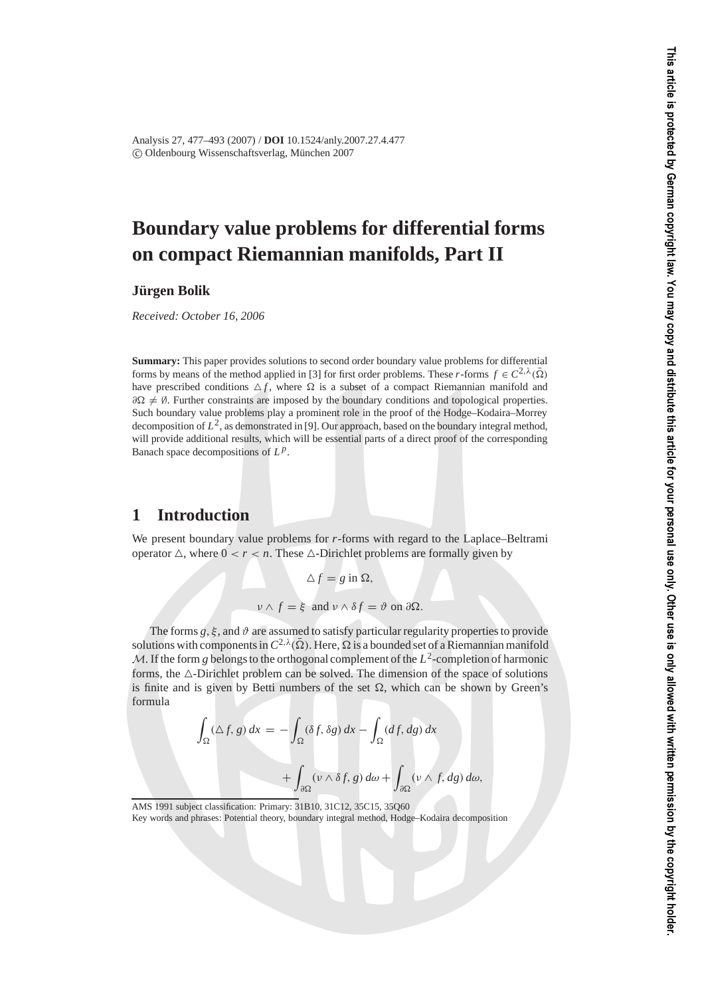Analysis 27, 477–493 (2007) / **DOI** 10.1524/anly.2007.27.4.477 c Oldenbourg Wissenschaftsverlag, Munchen 2007 ¨

# **Boundary value problems for differential forms on compact Riemannian manifolds, Part II**

**Jurgen Bolik ¨**

*Received: October 16, 2006*

**Summary:** This paper provides solutions to second order boundary value problems for differential forms by means of the method applied in [3] for first order problems. These *r*-forms  $f \in C^{2,\lambda}(\overline{\Omega})$ have prescribed conditions  $\Delta f$ , where  $\Omega$  is a subset of a compact Riemannian manifold and  $\partial \Omega \neq \emptyset$ . Further constraints are imposed by the boundary conditions and topological properties. Such boundary value problems play a prominent role in the proof of the Hodge–Kodaira–Morrey decomposition of *L*2, as demonstrated in [9]. Our approach, based on the boundary integral method, will provide additional results, which will be essential parts of a direct proof of the corresponding Banach space decompositions of *L <sup>p</sup>*.

## **1 Introduction**

We present boundary value problems for *r*-forms with regard to the Laplace–Beltrami operator  $\triangle$ , where  $0 < r < n$ . These  $\triangle$ -Dirichlet problems are formally given by

> $\Delta f = g$  in  $\Omega$ ,  $v \wedge f = \xi$  and  $v \wedge \delta f = \vartheta$  on  $\partial \Omega$ .

The forms  $g, \xi$ , and  $\vartheta$  are assumed to satisfy particular regularity properties to provide solutions with components in  $C^{2,\lambda}(\bar{\Omega})$ . Here,  $\Omega$  is a bounded set of a Riemannian manifold M. If the form g belongs to the orthogonal complement of the  $L^2$ -completion of harmonic forms, the  $\triangle$ -Dirichlet problem can be solved. The dimension of the space of solutions is finite and is given by Betti numbers of the set  $\Omega$ , which can be shown by Green's formula

$$
\int_{\Omega} (\Delta f, g) dx = - \int_{\Omega} (\delta f, \delta g) dx - \int_{\Omega} (df, dg) dx
$$

$$
+ \int_{\partial \Omega} (\nu \wedge \delta f, g) d\omega + \int_{\partial \Omega} (\nu \wedge f, dg) d\omega,
$$

AMS 1991 subject classification: Primary: 31B10, 31C12, 35C15, 35Q60

Key words and phrases: Potential theory, boundary integral method, Hodge–Kodaira decomposition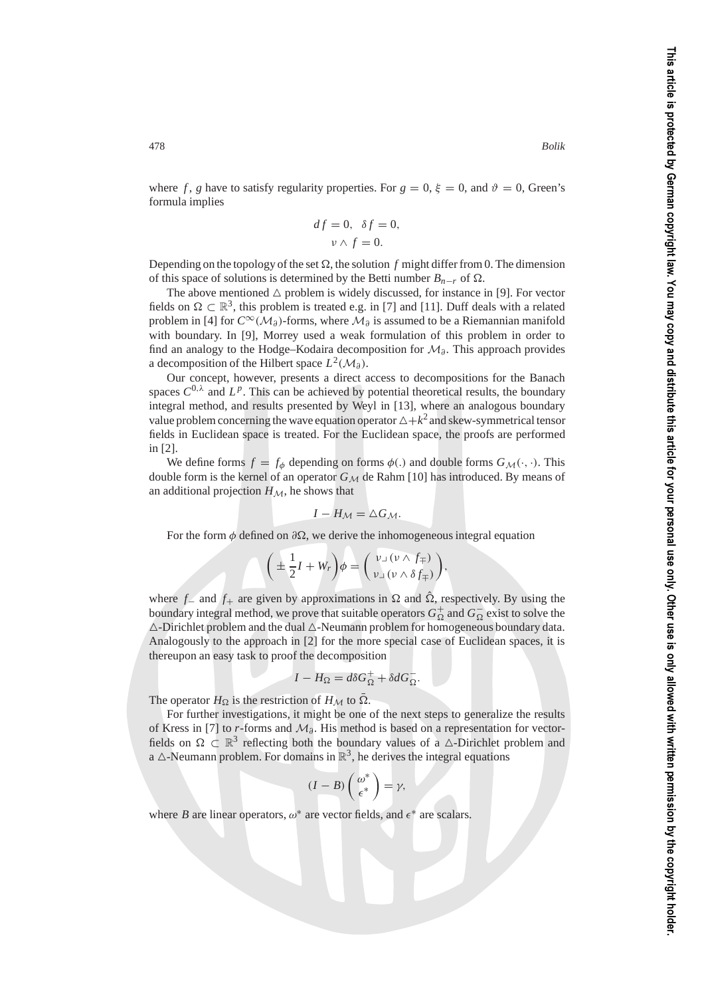where *f*, *g* have to satisfy regularity properties. For  $g = 0$ ,  $\xi = 0$ , and  $\vartheta = 0$ , Green's formula implies

$$
df = 0, \ \delta f = 0,
$$
  

$$
\nu \wedge f = 0.
$$

Depending on the topology of the set  $\Omega$ , the solution  $f$  might differ from 0. The dimension of this space of solutions is determined by the Betti number  $B_{n-r}$  of  $\Omega$ .

The above mentioned  $\triangle$  problem is widely discussed, for instance in [9]. For vector fields on  $\Omega \subset \mathbb{R}^3$ , this problem is treated e.g. in [7] and [11]. Duff deals with a related problem in [4] for  $C^{\infty}(\mathcal{M}_{\partial})$ -forms, where  $\mathcal{M}_{\partial}$  is assumed to be a Riemannian manifold with boundary. In [9], Morrey used a weak formulation of this problem in order to find an analogy to the Hodge–Kodaira decomposition for  $\mathcal{M}_{\theta}$ . This approach provides a decomposition of the Hilbert space  $L^2(\mathcal{M}_\partial)$ .

Our concept, however, presents a direct access to decompositions for the Banach spaces  $C^{0,\lambda}$  and  $L^p$ . This can be achieved by potential theoretical results, the boundary integral method, and results presented by Weyl in [13], where an analogous boundary value problem concerning the wave equation operator  $\Delta + k^2$  and skew-symmetrical tensor fields in Euclidean space is treated. For the Euclidean space, the proofs are performed in [2].

We define forms  $f = f_{\phi}$  depending on forms  $\phi(.)$  and double forms  $G_M(\cdot, \cdot)$ . This double form is the kernel of an operator  $G_M$  de Rahm [10] has introduced. By means of an additional projection  $H_M$ , he shows that

$$
I-H_{\mathcal{M}}=\triangle G_{\mathcal{M}}.
$$

For the form  $\phi$  defined on  $\partial\Omega$ , we derive the inhomogeneous integral equation

$$
\bigg(\pm\frac{1}{2}I+W_r\bigg)\phi=\bigg(\begin{array}{c}\nu\lrcorner\,(\nu\wedge f_{\mp})\\ \nu\lrcorner\,(\nu\wedge\delta f_{\mp})\end{array}\bigg),
$$

where  $f_$  and  $f_+$  are given by approximations in  $\Omega$  and  $\hat{\Omega}$ , respectively. By using the boundary integral method, we prove that suitable operators  $G_{\Omega}^+$  and  $G_{\Omega}^-$  exist to solve the  $\triangle$ -Dirichlet problem and the dual  $\triangle$ -Neumann problem for homogeneous boundary data. Analogously to the approach in [2] for the more special case of Euclidean spaces, it is thereupon an easy task to proof the decomposition

$$
I - H_{\Omega} = d\delta G_{\Omega}^{+} + \delta dG_{\Omega}^{-}.
$$

The operator  $H_{\Omega}$  is the restriction of  $H_M$  to  $\overline{\Omega}$ .

For further investigations, it might be one of the next steps to generalize the results of Kress in [7] to *r*-forms and M∂. His method is based on a representation for vectorfields on  $\Omega \subset \mathbb{R}^3$  reflecting both the boundary values of a  $\triangle$ -Dirichlet problem and a  $\triangle$ -Neumann problem. For domains in  $\mathbb{R}^3$ , he derives the integral equations

$$
(I - B) \begin{pmatrix} \omega^* \\ \epsilon^* \end{pmatrix} = \gamma,
$$

where *B* are linear operators,  $\omega^*$  are vector fields, and  $\epsilon^*$  are scalars.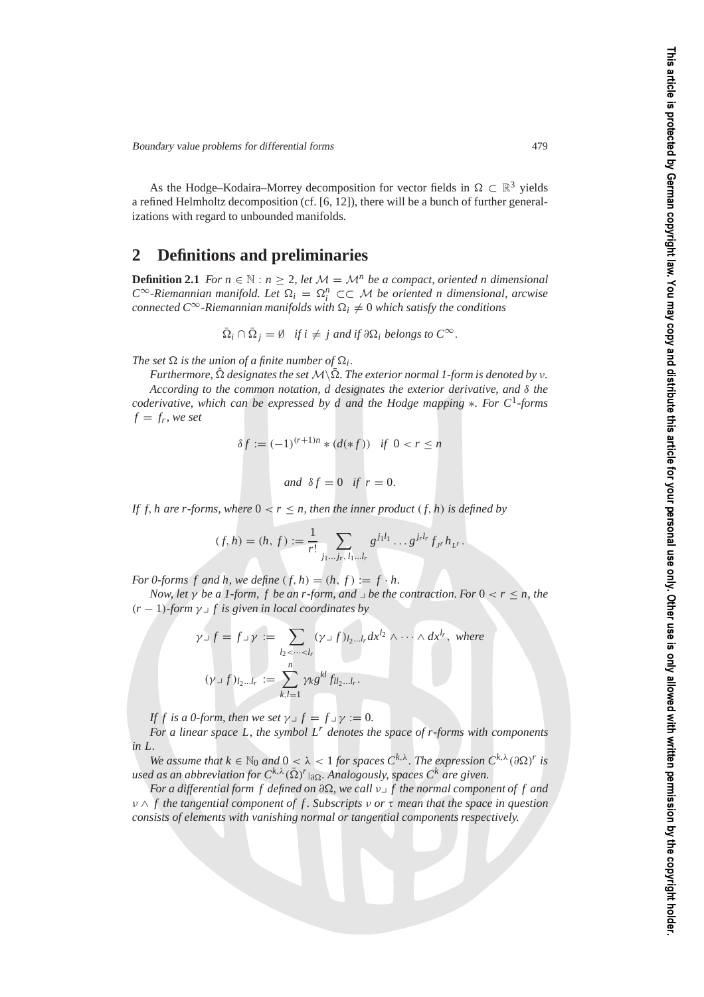As the Hodge–Kodaira–Morrey decomposition for vector fields in  $\Omega \subset \mathbb{R}^3$  yields a refined Helmholtz decomposition (cf. [6, 12]), there will be a bunch of further generalizations with regard to unbounded manifolds.

### **2 Definitions and preliminaries**

**Definition 2.1** *For*  $n \in \mathbb{N} : n \geq 2$ , let  $\mathcal{M} = \mathcal{M}^n$  be a compact, oriented n dimensional  $C^{\infty}$ -Riemannian manifold. Let  $\Omega_i = \Omega_i^n$  ⊂⊂ M be oriented n dimensional, arcwise  $\mathit{connected} \ C^\infty\text{-}Riemannian\ manifolds with $\Omega_i\neq 0$ which satisfy the conditions$ 

$$
\overline{\Omega}_i \cap \overline{\Omega}_j = \emptyset \quad \text{if } i \neq j \text{ and if } \partial \Omega_i \text{ belongs to } C^{\infty}.
$$

*The set*  $\Omega$  *is the union of a finite number of*  $\Omega_i$ *.* 

*Furthermore,*  $\hat{\Omega}$  *designates the set*  $\mathcal{M}\backslash\bar{\Omega}$ *. The exterior normal 1-form is denoted by v. According to the common notation, d designates the exterior derivative, and* δ *the coderivative, which can be expressed by d and the Hodge mapping* ∗*. For C*1*-forms*  $f = f_r$ , we set

$$
\delta f := (-1)^{(r+1)n} * (d(*f)) \quad \text{if } 0 < r \le n
$$

*and*  $\delta f = 0$  *if*  $r = 0$ .

*If f, h are r-forms, where*  $0 < r \leq n$ , then the inner product  $(f, h)$  is defined by

$$
(f,h) = (h,f) := \frac{1}{r!} \sum_{j_1...j_r, l_1...l_r} g^{j_1 l_1} \cdots g^{j_r l_r} f_{jr} h_{\nu^r}.
$$

*For 0-forms f and h, we define*  $(f, h) = (h, f) := f \cdot h$ .

*Now, let*  $\gamma$  *be a 1-form, f be an r-form, and*  $\lrcorner$  *be the contraction. For*  $0 < r < n$ *, the*  $(r - 1)$ -form  $\gamma \supset f$  is given in local coordinates by

$$
\gamma \lrcorner f = f \lrcorner \gamma := \sum_{l_2 < \dots < l_r} (\gamma \lrcorner f)_{l_2 \dots l_r} dx^{l_2} \wedge \dots \wedge dx^{l_r}, \text{ where}
$$
\n
$$
(\gamma \lrcorner f)_{l_2 \dots l_r} := \sum_{k,l=1}^n \gamma_k g^{kl} f_{ll_2 \dots l_r}.
$$

*If f is a 0-form, then we set*  $\gamma \supset f = f \supset \gamma := 0$ .

*For a linear space L, the symbol L<sup>r</sup> denotes the space of r-forms with components in L.*

*We assume that*  $k \in \mathbb{N}_0$  *and*  $0 < \lambda < 1$  *for spaces*  $C^{k,\lambda}$ *. The expression*  $C^{k,\lambda}(\partial \Omega)^r$  *is used as an abbreviation for*  $C^{k, \lambda}(\bar{\Omega})^r$ <sub>*|∂*Ω</sub>. Analogously, spaces  $C^k$  are given.

*For a differential form f defined on ∂*Ω, we call  $ν$ <sub>→</sub> f the normal component of f and ν ∧ *f the tangential component of f . Subscripts* ν *or* τ *mean that the space in question consists of elements with vanishing normal or tangential components respectively.*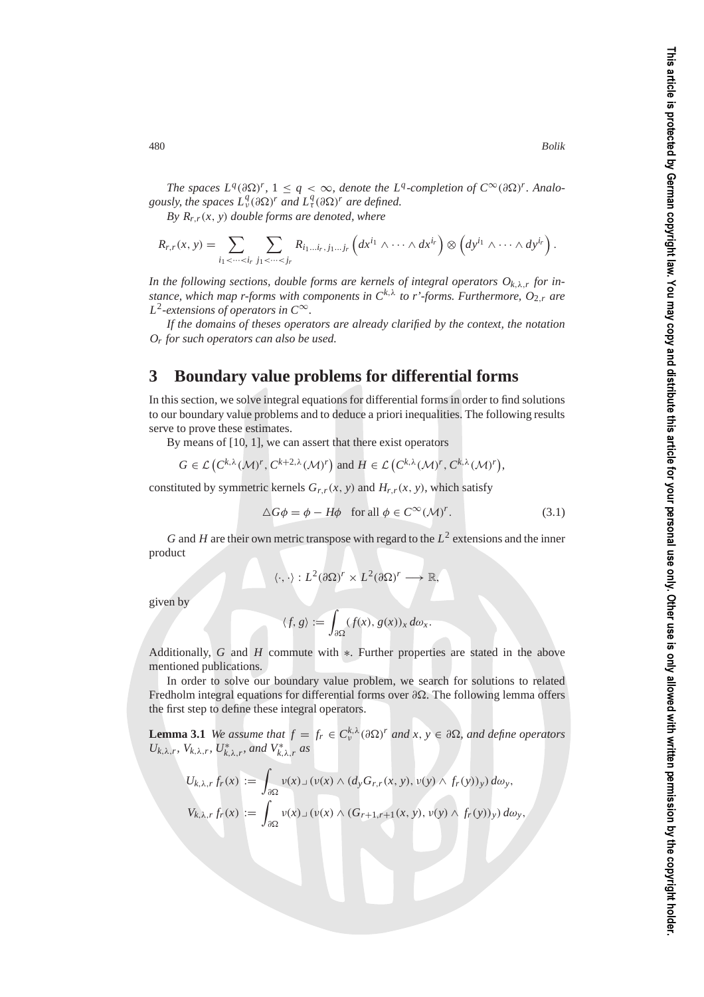*The spaces*  $L^q(\partial \Omega)^r$ *,*  $1 \leq q < \infty$ , *denote the L<sup>q</sup>-completion of*  $C^{\infty}(\partial \Omega)^r$ . Analo*gously, the spaces*  $L^q_\nu(\partial \Omega)^r$  *and*  $L^q_\tau(\partial \Omega)^r$  *are defined.* 

*By Rr*,*r*(*x*, *y*) *double forms are denoted, where*

$$
R_{r,r}(x, y) = \sum_{i_1 < \dots < i_r} \sum_{j_1 < \dots < j_r} R_{i_1 \dots i_r, j_1 \dots j_r} \left( dx^{i_1} \wedge \dots \wedge dx^{i_r} \right) \otimes \left( dy^{i_1} \wedge \dots \wedge dy^{i_r} \right).
$$

*In the following sections, double forms are kernels of integral operators*  $O_{k,\lambda,r}$  *for instance, which map r-forms with components in*  $C^{k,\lambda}$  *to r'-forms. Furthermore,*  $O_{2,r}$  *are L*2*-extensions of operators in C*∞*.*

*If the domains of theses operators are already clarified by the context, the notation Or for such operators can also be used.*

### **3 Boundary value problems for differential forms**

In this section, we solve integral equations for differential forms in order to find solutions to our boundary value problems and to deduce a priori inequalities. The following results serve to prove these estimates.

By means of [10, 1], we can assert that there exist operators

$$
G \in \mathcal{L}\left(C^{k,\lambda}(\mathcal{M})^r, C^{k+2,\lambda}(\mathcal{M})^r\right) \text{ and } H \in \mathcal{L}\left(C^{k,\lambda}(\mathcal{M})^r, C^{k,\lambda}(\mathcal{M})^r\right),
$$

constituted by symmetric kernels  $G_{r,r}(x, y)$  and  $H_{r,r}(x, y)$ , which satisfy

$$
\Delta G \phi = \phi - H\phi \quad \text{for all } \phi \in C^{\infty}(\mathcal{M})^r. \tag{3.1}
$$

*G* and *H* are their own metric transpose with regard to the  $L^2$  extensions and the inner product

$$
\langle \cdot, \cdot \rangle : L^2(\partial \Omega)^r \times L^2(\partial \Omega)^r \longrightarrow \mathbb{R},
$$

given by

$$
\langle f, g \rangle := \int_{\partial \Omega} (f(x), g(x))_x \, d\omega_x.
$$

Additionally, *G* and *H* commute with ∗. Further properties are stated in the above mentioned publications.

In order to solve our boundary value problem, we search for solutions to related Fredholm integral equations for differential forms over  $\partial\Omega$ . The following lemma offers the first step to define these integral operators.

**Lemma 3.1** *We assume that*  $f = f_r \in C_v^{k,\lambda}(\partial \Omega)^r$  *and*  $x, y \in \partial \Omega$ *, and define operators*  $U_{k,\lambda,r}$ ,  $V_{k,\lambda,r}$ ,  $U_{k,\lambda,r}^*$ , and  $V_{k,\lambda,r}^*$  *as* 

$$
U_{k,\lambda,r}f_r(x) := \int_{\partial\Omega} \nu(x) \Box (\nu(x) \land (d_y G_{r,r}(x, y), \nu(y) \land f_r(y))_y) d\omega_y,
$$
  

$$
V_{k,\lambda,r}f_r(x) := \int_{\partial\Omega} \nu(x) \Box (\nu(x) \land (G_{r+1,r+1}(x, y), \nu(y) \land f_r(y))_y) d\omega_y,
$$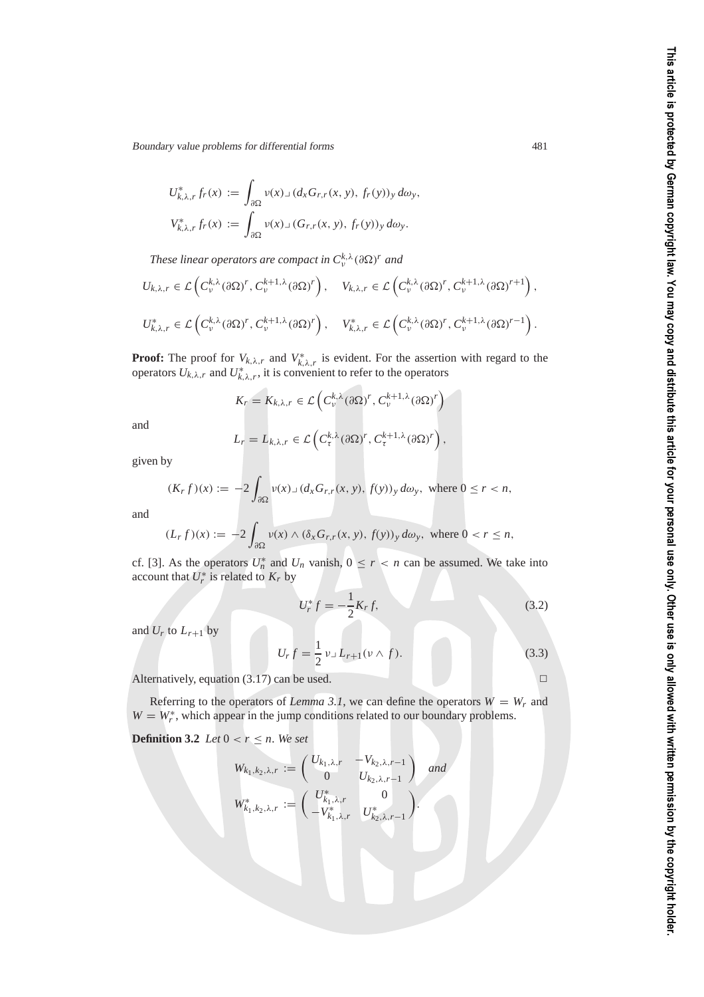$$
U_{k,\lambda,r}^* f_r(x) := \int_{\partial\Omega} v(x) \lrcorner (d_x G_{r,r}(x, y), f_r(y))_y \, d\omega_y,
$$
  

$$
V_{k,\lambda,r}^* f_r(x) := \int_{\partial\Omega} v(x) \lrcorner (G_{r,r}(x, y), f_r(y))_y \, d\omega_y.
$$

*These linear operators are compact in*  $C_v^{k,\lambda}(\partial\Omega)^r$  *and* 

$$
U_{k,\lambda,r} \in \mathcal{L}\left(C_v^{k,\lambda}(\partial \Omega)^r, C_v^{k+1,\lambda}(\partial \Omega)^r\right), \quad V_{k,\lambda,r} \in \mathcal{L}\left(C_v^{k,\lambda}(\partial \Omega)^r, C_v^{k+1,\lambda}(\partial \Omega)^{r+1}\right),
$$
  

$$
U_{k,\lambda,r}^* \in \mathcal{L}\left(C_v^{k,\lambda}(\partial \Omega)^r, C_v^{k+1,\lambda}(\partial \Omega)^r\right), \quad V_{k,\lambda,r}^* \in \mathcal{L}\left(C_v^{k,\lambda}(\partial \Omega)^r, C_v^{k+1,\lambda}(\partial \Omega)^{r-1}\right).
$$

**Proof:** The proof for  $V_{k,\lambda,r}$  and  $V_{k,\lambda,r}^*$  is evident. For the assertion with regard to the operators  $U_{k,\lambda,r}$  and  $U_{k,\lambda,r}^*$ , it is convenient to refer to the operators

$$
K_r = K_{k,\lambda,r} \in \mathcal{L}\left(C_v^{k,\lambda}(\partial \Omega)^r, C_v^{k+1,\lambda}(\partial \Omega)^r\right)
$$

and

$$
L_r = L_{k,\lambda,r} \in \mathcal{L}\left(C_\tau^{k,\lambda}(\partial \Omega)^r, C_\tau^{k+1,\lambda}(\partial \Omega)^r\right),
$$

given by

$$
(K_r f)(x) := -2 \int_{\partial \Omega} v(x) \mathbf{1} (d_x G_{r,r}(x, y), f(y))_y d\omega_y, \text{ where } 0 \le r < n,
$$

and

$$
(L_r f)(x) := -2 \int_{\partial \Omega} v(x) \wedge (\delta_x G_{r,r}(x, y), f(y))_y \, d\omega_y, \text{ where } 0 < r \le n,
$$

cf. [3]. As the operators  $U_n^*$  and  $U_n$  vanish,  $0 \le r < n$  can be assumed. We take into account that  $U_r^*$  is related to  $K_r$  by

$$
U_r^* f = -\frac{1}{2} K_r f,\tag{3.2}
$$

and  $U_r$  to  $L_{r+1}$  by

$$
U_r f = \frac{1}{2} \nu \Box L_{r+1} (\nu \wedge f). \tag{3.3}
$$

Alternatively, equation (3.17) can be used.  $\square$ 

Referring to the operators of *Lemma 3.1*, we can define the operators  $W = W_r$  and  $W = W_r^*$ , which appear in the jump conditions related to our boundary problems.

**Definition 3.2** *Let*  $0 < r \leq n$ *. We set* 

$$
W_{k_1,k_2,\lambda,r} := \begin{pmatrix} U_{k_1,\lambda,r} & -V_{k_2,\lambda,r-1} \\ 0 & U_{k_2,\lambda,r-1} \end{pmatrix} \text{ and }
$$
  

$$
W_{k_1,k_2,\lambda,r}^* := \begin{pmatrix} U_{k_1,\lambda,r}^* & 0 \\ -V_{k_1,\lambda,r}^* & U_{k_2,\lambda,r-1}^* \end{pmatrix}.
$$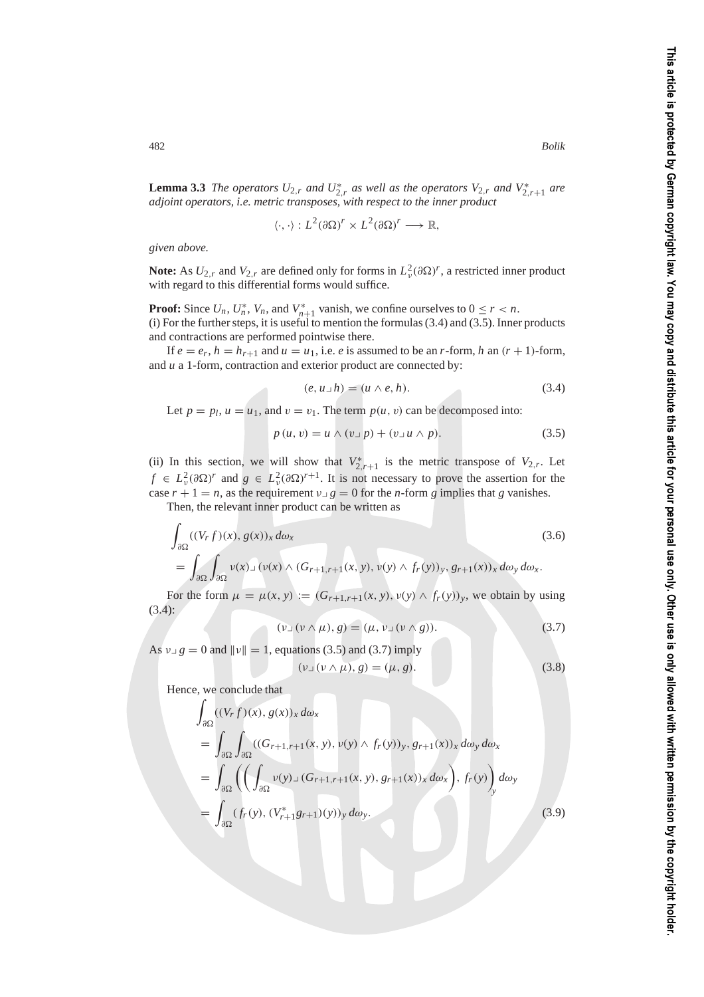**Lemma 3.3** *The operators*  $U_{2,r}$  *and*  $U_{2,r}^*$  *as well as the operators*  $V_{2,r}$  *and*  $V_{2,r+1}^*$  *are adjoint operators, i.e. metric transposes, with respect to the inner product*

$$
\langle \cdot, \cdot \rangle : L^2(\partial \Omega)^r \times L^2(\partial \Omega)^r \longrightarrow \mathbb{R},
$$

*given above.*

**Note:** As  $U_{2,r}$  and  $V_{2,r}$  are defined only for forms in  $L^2_v(\partial\Omega)^r$ , a restricted inner product with regard to this differential forms would suffice.

**Proof:** Since  $U_n$ ,  $U_n^*$ ,  $V_n$ , and  $V_{n+1}^*$  vanish, we confine ourselves to  $0 \le r < n$ . (i) For the further steps, it is useful to mention the formulas  $(3.4)$  and  $(3.5)$ . Inner products and contractions are performed pointwise there.

If  $e = e_r$ ,  $h = h_{r+1}$  and  $u = u_1$ , i.e. *e* is assumed to be an *r*-form, *h* an  $(r + 1)$ -form, and *u* a 1-form, contraction and exterior product are connected by:

$$
(e, u \lrcorner h) = (u \wedge e, h). \tag{3.4}
$$

Let  $p = p_l$ ,  $u = u_1$ , and  $v = v_1$ . The term  $p(u, v)$  can be decomposed into:

$$
p(u, v) = u \wedge (v \cup p) + (v \cup u \wedge p). \tag{3.5}
$$

(ii) In this section, we will show that  $V_{2,r+1}^*$  is the metric transpose of  $V_{2,r}$ . Let  $f \in L^2_{\nu}(\partial \Omega)^r$  and  $g \in L^2_{\nu}(\partial \Omega)^{r+1}$ . It is not necessary to prove the assertion for the case  $r + 1 = n$ , as the requirement  $v \perp g = 0$  for the *n*-form *g* implies that *g* vanishes.

Then, the relevant inner product can be written as

$$
\int_{\partial\Omega} ((V_r f)(x), g(x))_x d\omega_x
$$
\n
$$
= \int_{\partial\Omega} \int_{\partial\Omega} \nu(x) \, \nu(x) \wedge (G_{r+1,r+1}(x, y), \nu(y) \wedge f_r(y))_y, g_{r+1}(x))_x d\omega_y d\omega_x.
$$
\n(3.6)

For the form  $\mu = \mu(x, y) := (G_{r+1,r+1}(x, y), \nu(y) \wedge f_r(y))_y$ , we obtain by using (3.4):

$$
(\nu \lrcorner \left(\nu \wedge \mu\right), g) = (\mu, \nu \lrcorner \left(\nu \wedge g\right)). \tag{3.7}
$$

As  $v \gtrsim g = 0$  and  $||v|| = 1$ , equations (3.5) and (3.7) imply

$$
(\nu \lrcorner \, (\nu \wedge \mu), g) = (\mu, g). \tag{3.8}
$$

Hence, we conclude that

$$
\int_{\partial\Omega} ((V_r f)(x), g(x))_x d\omega_x
$$
\n
$$
= \int_{\partial\Omega} \int_{\partial\Omega} ((G_{r+1,r+1}(x, y), v(y) \wedge f_r(y))_y, g_{r+1}(x))_x d\omega_y d\omega_x
$$
\n
$$
= \int_{\partial\Omega} \left( \left( \int_{\partial\Omega} v(y) \perp (G_{r+1,r+1}(x, y), g_{r+1}(x))_x d\omega_x \right), f_r(y) \right)_y d\omega_y
$$
\n
$$
= \int_{\partial\Omega} (f_r(y), (V_{r+1}^* g_{r+1})(y))_y d\omega_y.
$$
\n(3.9)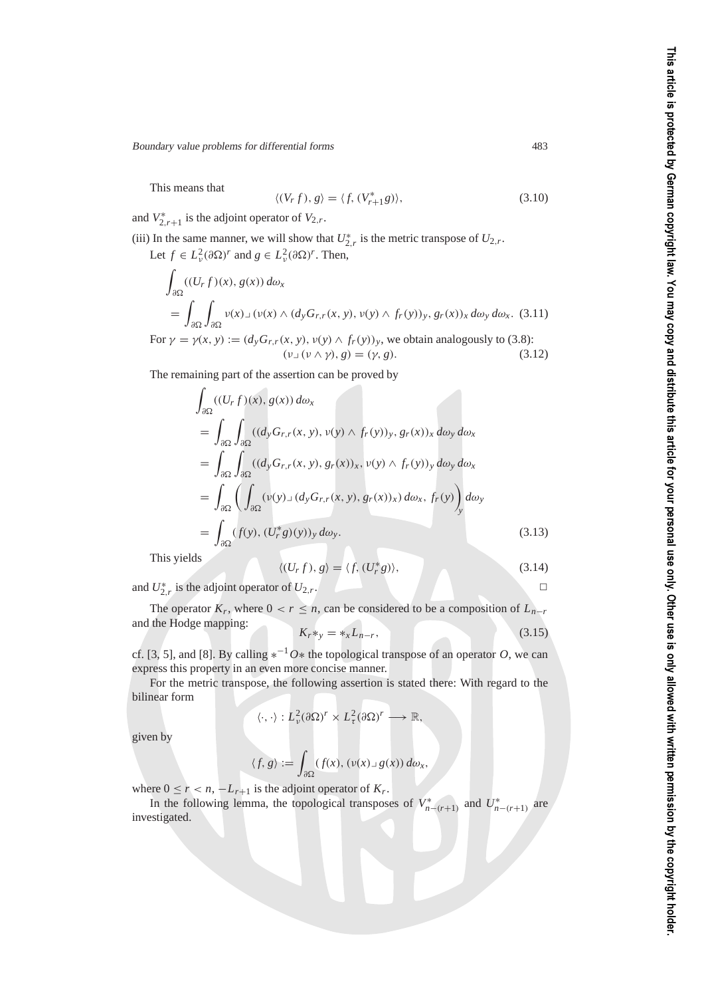This means that

$$
\langle (V_r f), g \rangle = \langle f, (V_{r+1}^* g) \rangle, \tag{3.10}
$$

and  $V_{2,r+1}^*$  is the adjoint operator of  $V_{2,r}$ .

(iii) In the same manner, we will show that  $U_{2,r}^*$  is the metric transpose of  $U_{2,r}$ . Let  $f \in L^2_{\nu}(\partial \Omega)^r$  and  $g \in L^2_{\nu}(\partial \Omega)^r$ . Then,

$$
\int_{\partial\Omega} ((U_r f)(x), g(x)) d\omega_x
$$
\n
$$
= \int_{\partial\Omega} \int_{\partial\Omega} v(x) \Delta(v(x) \wedge (d_y G_{r,r}(x, y), v(y) \wedge f_r(y))_y, g_r(x))_x d\omega_y d\omega_x. (3.11)
$$
\nFor  $\gamma = \gamma(x, y) := (d_y G_{r,r}(x, y), v(y) \wedge f_r(y))_y$ , we obtain analogously to (3.8):

$$
(\nu_{\perp}(\nu \wedge \gamma), g) = (\gamma, g). \tag{3.12}
$$

The remaining part of the assertion can be proved by

$$
\int_{\partial\Omega} ((U_r f)(x), g(x)) d\omega_x
$$
\n
$$
= \int_{\partial\Omega} \int_{\partial\Omega} ((d_y G_{r,r}(x, y), v(y) \wedge f_r(y))_y, g_r(x))_x d\omega_y d\omega_x
$$
\n
$$
= \int_{\partial\Omega} \int_{\partial\Omega} ((d_y G_{r,r}(x, y), g_r(x))_x, v(y) \wedge f_r(y))_y d\omega_y d\omega_x
$$
\n
$$
= \int_{\partial\Omega} \left( \int_{\partial\Omega} (v(y) \lrcorner (d_y G_{r,r}(x, y), g_r(x))_x) d\omega_x, f_r(y) \right)_y d\omega_y
$$
\n
$$
= \int_{\partial\Omega} (f(y), (U_r^* g)(y))_y d\omega_y. \tag{3.13}
$$

This yields  $\langle$ 

$$
(U_r f), g \rangle = \langle f, (U_r^* g) \rangle, \tag{3.14}
$$

and  $U_{2,r}^*$  is the adjoint operator of  $U_{2,r}$ .

The operator  $K_r$ , where  $0 < r \leq n$ , can be considered to be a composition of  $L_{n-r}$  $x^2 + y^2 = 0$  *and the Hodge mapping:* 

$$
K_r *_{y} = *_{x} L_{n-r}, \qquad (3.15)
$$

cf. [3, 5], and [8]. By calling  $*^{-1}O*$  the topological transpose of an operator *O*, we can express this property in an even more concise manner.

For the metric transpose, the following assertion is stated there: With regard to the bilinear form

$$
\langle \cdot, \cdot \rangle : L^2_{\nu}(\partial \Omega)^r \times L^2_{\tau}(\partial \Omega)^r \longrightarrow \mathbb{R},
$$

given by

$$
\langle f, g \rangle := \int_{\partial \Omega} (f(x), (\nu(x) \cup g(x)) \, d\omega_x,
$$

where  $0 \le r < n$ ,  $-L_{r+1}$  is the adjoint operator of  $K_r$ .

In the following lemma, the topological transposes of  $V_{n-(r+1)}^*$  and  $U_{n-(r+1)}^*$  are investigated.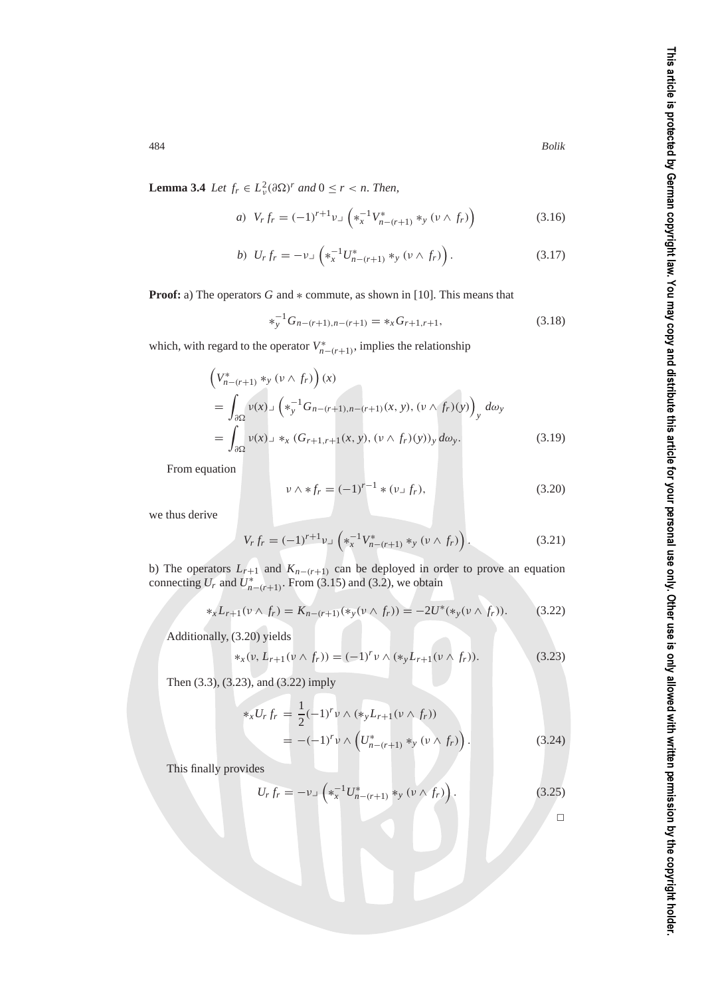**Lemma 3.4** *Let*  $f_r \in L^2_v(\partial \Omega)^r$  *and*  $0 \le r < n$ *. Then,* 

a) 
$$
V_r f_r = (-1)^{r+1} v \lrcorner \left( *_{x}^{-1} V_{n-(r+1)}^{*} *_{y} (v \wedge f_r) \right)
$$
 (3.16)

$$
b) \ \ U_r f_r = -\nu \lrcorner \left( *^{-1}_x U^*_{n-(r+1)} *_{y} (\nu \wedge f_r) \right). \tag{3.17}
$$

**Proof:** a) The operators *G* and ∗ commute, as shown in [10]. This means that

$$
*_{y}^{-1}G_{n-(r+1),n-(r+1)} = *_{x}G_{r+1,r+1},
$$
\n(3.18)

which, with regard to the operator  $V_{n-(r+1)}^*$ , implies the relationship

$$
\left(V_{n-(r+1)}^{*} *_{y} (v \wedge f_{r})\right)(x)
$$
\n
$$
= \int_{\partial \Omega} v(x) \int ( *_{y}^{-1} G_{n-(r+1), n-(r+1)}(x, y), (v \wedge f_{r})(y))_{y} d\omega_{y}
$$
\n
$$
= \int_{\partial \Omega} v(x) \int (s^{2} *_{x} (G_{r+1,r+1}(x, y), (v \wedge f_{r})(y))_{y} d\omega_{y}. \qquad (3.19)
$$

From equation

$$
\nu \wedge *f_r = (-1)^{r-1} * (\nu \cup f_r), \qquad (3.20)
$$

we thus derive

$$
V_r f_r = (-1)^{r+1} \nu \lrcorner \left( *_{x}^{-1} V_{n-(r+1)}^{*} *_{y} ( \nu \wedge f_r ) \right). \tag{3.21}
$$

b) The operators  $L_{r+1}$  and  $K_{n-(r+1)}$  can be deployed in order to prove an equation connecting  $U_r$  and  $U^*_{n-(r+1)}$ . From (3.15) and (3.2), we obtain

$$
*_{x}L_{r+1}(\nu \wedge f_{r}) = K_{n-(r+1)}(*_{y}(\nu \wedge f_{r})) = -2U^{*}(*_{y}(\nu \wedge f_{r})).
$$
 (3.22)

Additionally, (3.20) yields

$$
*_x(\nu, L_{r+1}(\nu \wedge f_r)) = (-1)^r \nu \wedge (*_y L_{r+1}(\nu \wedge f_r)). \tag{3.23}
$$

Then (3.3), (3.23), and (3.22) imply

$$
*_{x}U_{r}f_{r} = \frac{1}{2}(-1)^{r} \nu \wedge (*_{y}L_{r+1}(\nu \wedge f_{r}))
$$
  
= -(-1)<sup>r</sup> \nu \wedge (U\_{n-(r+1)}^{\*} \*\_{y} (\nu \wedge f\_{r})). \t(3.24)

This finally provides

$$
U_r f_r = -\nu \lrcorner \left( *_{x}^{-1} U_{n-(r+1)}^* *_{y} (\nu \wedge f_r) \right). \tag{3.25}
$$

 $\hfill \square$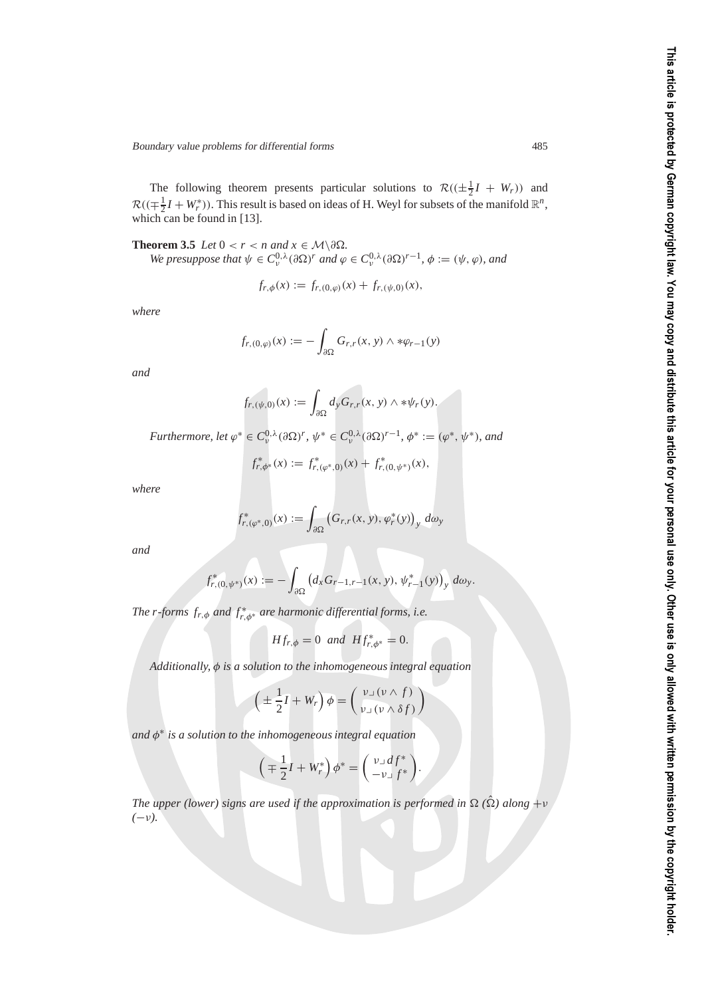The following theorem presents particular solutions to  $\mathcal{R}((\pm \frac{1}{2}I + W_r))$  and  $\mathcal{R}((\mp \frac{1}{2}I + W_r^*))$ . This result is based on ideas of H. Weyl for subsets of the manifold  $\mathbb{R}^n$ , which can be found in [13].

**Theorem 3.5** *Let*  $0 < r < n$  *and*  $x \in \mathcal{M} \setminus \partial \Omega$ *. We presuppose that*  $\psi \in C^{0,\lambda}_\nu(\partial \Omega)^r$  *and*  $\varphi \in C^{0,\lambda}_\nu(\partial \Omega)^{r-1}$ ,  $\phi := (\psi, \varphi)$ *, and* 

$$
f_{r,\phi}(x) := f_{r,(0,\varphi)}(x) + f_{r,(\psi,0)}(x),
$$

*where*

$$
f_{r,(0,\varphi)}(x) := -\int_{\partial\Omega} G_{r,r}(x,\,y) \wedge \ast \varphi_{r-1}(y)
$$

*and*

$$
f_{r,(\psi,0)}(x) := \int_{\partial\Omega} d_{y} G_{r,r}(x, y) \wedge *\psi_{r}(y).
$$

*Furthermore, let*  $\varphi^* \in C^{0,\lambda}_v(\partial \Omega)^r$ ,  $\psi^* \in C^{0,\lambda}_v(\partial \Omega)^{r-1}$ ,  $\phi^* := (\varphi^*, \psi^*)$ , and

$$
f_{r,\phi^*}^*(x) := f_{r,(\varphi^*,0)}^*(x) + f_{r,(0,\psi^*)}^*(x),
$$

*where*

$$
f_{r,(\varphi^*,0)}^*(x) := \int_{\partial\Omega} \left( G_{r,r}(x,y), \varphi_r^*(y) \right)_y \, d\omega_y
$$

*and*

$$
f_{r,(0,\psi^*)}^*(x) := -\int_{\partial\Omega} \left( d_x G_{r-1,r-1}(x,y), \psi_{r-1}^*(y) \right)_y d\omega_y.
$$

*The r-forms*  $f_{r,\phi}$  *and*  $f_{r,\phi^*}^*$  *are harmonic differential forms, i.e.* 

$$
Hf_{r,\phi} = 0
$$
 and  $Hf_{r,\phi^*}^* = 0$ .

*Additionally,* φ *is a solution to the inhomogeneous integral equation*

$$
\left(\pm\frac{1}{2}I+W_r\right)\phi=\left(\begin{array}{c}\nu\lrcorner\left(\nu\wedge f\right)\\ \nu\lrcorner\left(\nu\wedge\delta f\right)\end{array}\right)
$$

*and* φ<sup>∗</sup> *is a solution to the inhomogeneous integral equation*

$$
\left(\mp\frac{1}{2}I+W_r^*\right)\phi^*=\left(\begin{array}{c}\nu\lrcorner\,df^*\\-\nu\lrcorner\,f^*\end{array}\right).
$$

*The upper (lower) signs are used if the approximation is performed in*  $\Omega$  ( $\hat{\Omega}$ ) along  $+v$ *(*−ν*).*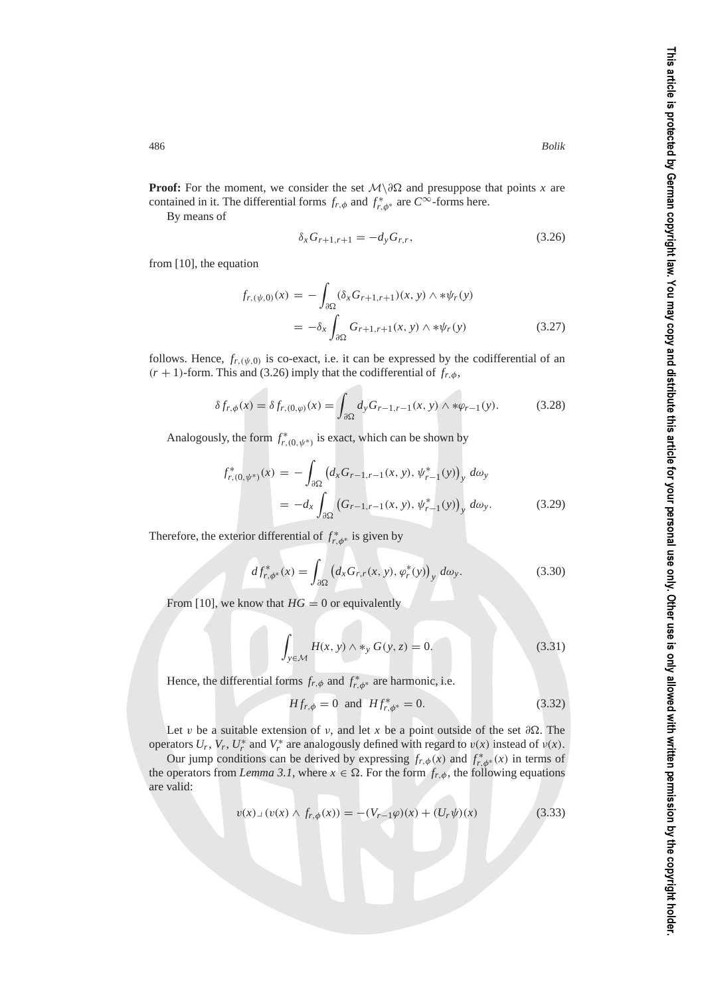**Proof:** For the moment, we consider the set  $\mathcal{M}\backslash \partial\Omega$  and presuppose that points *x* are contained in it. The differential forms  $f_{r,\phi}$  and  $f_{r,\phi^*}^*$  are  $C^\infty$ -forms here.

By means of

$$
\delta_x G_{r+1,r+1} = -d_y G_{r,r},\tag{3.26}
$$

from [10], the equation

$$
f_{r,(\psi,0)}(x) = -\int_{\partial\Omega} (\delta_x G_{r+1,r+1})(x, y) \wedge * \psi_r(y)
$$
  
=  $-\delta_x \int_{\partial\Omega} G_{r+1,r+1}(x, y) \wedge * \psi_r(y)$  (3.27)

follows. Hence,  $f_{r,(\psi,0)}$  is co-exact, i.e. it can be expressed by the codifferential of an  $(r + 1)$ -form. This and (3.26) imply that the codifferential of  $f_{r, \phi}$ ,

$$
\delta f_{r,\phi}(x) = \delta f_{r,(0,\varphi)}(x) = \int_{\partial\Omega} d_y G_{r-1,r-1}(x,y) \wedge \ast \varphi_{r-1}(y). \tag{3.28}
$$

Analogously, the form  $f^*_{r,(0,\psi^*)}$  is exact, which can be shown by

$$
f_{r,(0,\psi^*)}^*(x) = -\int_{\partial\Omega} \left( d_x G_{r-1,r-1}(x,y), \psi_{r-1}^*(y) \right)_y \, d\omega_y
$$
  
= 
$$
-d_x \int_{\partial\Omega} \left( G_{r-1,r-1}(x,y), \psi_{r-1}^*(y) \right)_y \, d\omega_y.
$$
 (3.29)

Therefore, the exterior differential of  $f_{r,\phi^*}^*$  is given by

$$
df_{r,\phi^*}^*(x) = \int_{\partial\Omega} \left( d_x G_{r,r}(x,y), \varphi_r^*(y) \right)_y \, d\omega_y. \tag{3.30}
$$

From [10], we know that  $HG = 0$  or equivalently

$$
\int_{y \in \mathcal{M}} H(x, y) \wedge \ast_y G(y, z) = 0. \tag{3.31}
$$

Hence, the differential forms  $f_{r,\phi}$  and  $f_{r,\phi^*}^*$  are harmonic, i.e.

$$
Hf_{r,\phi} = 0 \text{ and } Hf_{r,\phi^*}^* = 0. \tag{3.32}
$$

Let v be a suitable extension of v, and let x be a point outside of the set  $\partial\Omega$ . The operators  $U_r$ ,  $V_r$ ,  $U_r^*$  and  $V_r^*$  are analogously defined with regard to  $v(x)$  instead of  $v(x)$ .

Our jump conditions can be derived by expressing  $f_{r,\phi}(x)$  and  $f_{r,\phi^*}^*(x)$  in terms of the operators from *Lemma 3.1*, where  $x \in \Omega$ . For the form  $f_{r,\phi}$ , the following equations are valid:

$$
v(x) \lrcorner \, (v(x) \wedge f_{r,\phi}(x)) = -(V_{r-1}\varphi)(x) + (U_r\psi)(x) \tag{3.33}
$$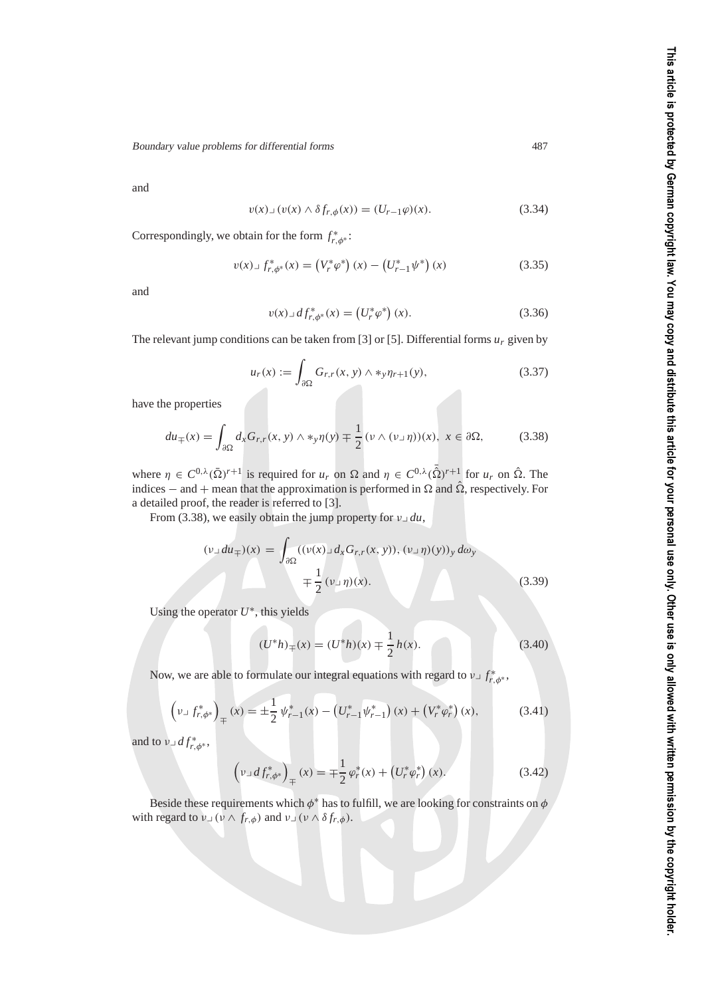and

$$
v(x) \lrcorner \, (v(x) \wedge \delta f_{r,\phi}(x)) = (U_{r-1}\varphi)(x). \tag{3.34}
$$

Correspondingly, we obtain for the form  $f_{r,\phi^*}^*$ :

$$
v(x) \lrcorner f_{r,\phi^*}^*(x) = \left(V_r^*\varphi^*\right)(x) - \left(U_{r-1}^*\psi^*\right)(x) \tag{3.35}
$$

and

$$
v(x) \lrcorner \, df_{r,\phi^*}^*(x) = \left(U_r^*\varphi^*\right)(x). \tag{3.36}
$$

The relevant jump conditions can be taken from [3] or [5]. Differential forms *ur* given by

$$
u_r(x) := \int_{\partial \Omega} G_{r,r}(x, y) \wedge *_{y} \eta_{r+1}(y), \tag{3.37}
$$

have the properties

$$
du_{\mp}(x) = \int_{\partial\Omega} d_x G_{r,r}(x, y) \wedge \ast_y \eta(y) \mp \frac{1}{2} (\nu \wedge (\nu \Box \eta))(x), \ x \in \partial\Omega,
$$
 (3.38)

where  $\eta \in C^{0,\lambda}(\bar{\Omega})^{r+1}$  is required for  $u_r$  on  $\Omega$  and  $\eta \in C^{0,\lambda}(\bar{\hat{\Omega}})^{r+1}$  for  $u_r$  on  $\hat{\Omega}$ . The indices – and + mean that the approximation is performed in  $\Omega$  and  $\hat{\Omega}$ , respectively. For a detailed proof, the reader is referred to [3].

From (3.38), we easily obtain the jump property for  $v \perp du$ ,

$$
(\nu \lrcorner du_{\mp})(x) = \int_{\partial \Omega} ((\nu(x) \lrcorner d_x G_{r,r}(x, y)), (\nu \lrcorner \eta)(y))_y d\omega_y
$$

$$
\mp \frac{1}{2} (\nu \lrcorner \eta)(x). \tag{3.39}
$$

Using the operator *U*∗, this yields

$$
(U^*h)_{\mp}(x) = (U^*h)(x) \mp \frac{1}{2}h(x).
$$
 (3.40)

Now, we are able to formulate our integral equations with regard to  $v \perp f^*_{r,\phi^*}$ ,

$$
\left(\nu \lrcorner f_{r,\phi^*}^*\right)_{\mp}(x) = \pm \frac{1}{2} \psi_{r-1}^*(x) - \left(U_{r-1}^* \psi_{r-1}^*\right)(x) + \left(V_r^* \varphi_r^*\right)(x),\tag{3.41}
$$

and to  $v \lrcorner df^*_{r,\phi^*}$ ,

$$
\left(\nu \lrcorner \, df_{r,\phi^*}^*\right)_{\mp}(x) = \mp \frac{1}{2} \, \varphi_r^*(x) + \left(U_r^* \varphi_r^*\right)(x). \tag{3.42}
$$

Beside these requirements which  $\phi^*$  has to fulfill, we are looking for constraints on  $\phi$ with regard to  $v \perp (v \wedge f_{r,\phi})$  and  $v \perp (v \wedge \delta f_{r,\phi})$ .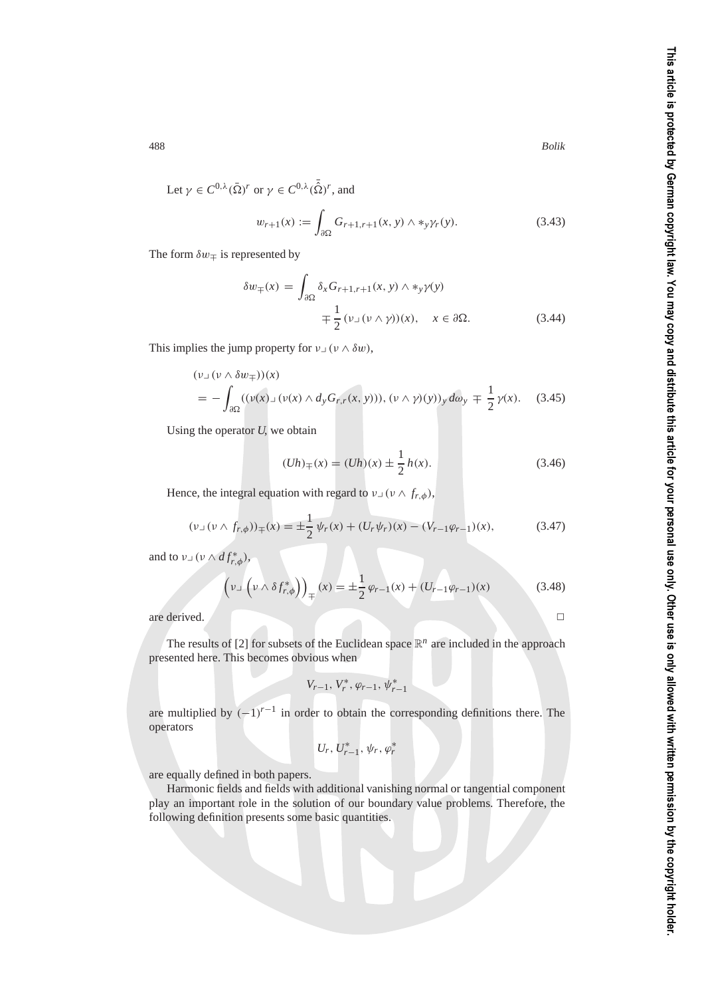Let  $\gamma \in C^{0,\lambda}(\bar{\Omega})^r$  or  $\gamma \in C^{0,\lambda}(\bar{\hat{\Omega}})^r$ , and

$$
w_{r+1}(x) := \int_{\partial \Omega} G_{r+1,r+1}(x, y) \wedge \ast_y \gamma_r(y). \tag{3.43}
$$

The form  $\delta w_{\mp}$  is represented by

$$
\delta w_{\mp}(x) = \int_{\partial \Omega} \delta_x G_{r+1,r+1}(x, y) \wedge \ast_y \gamma(y)
$$
  

$$
\mp \frac{1}{2} (\nu \Box (\nu \land \gamma))(x), \quad x \in \partial \Omega.
$$
 (3.44)

This implies the jump property for  $v \cup (v \wedge \delta w)$ ,

$$
(\nu_{\perp}(\nu \wedge \delta w_{\mp}))(x)
$$
  
=  $-\int_{\partial\Omega} ((\nu(x)_{\perp}(\nu(x) \wedge d_{y}G_{r,r}(x, y))), (\nu \wedge \gamma)(y))_{y} d\omega_{y} \mp \frac{1}{2} \gamma(x).$  (3.45)

Using the operator *U*, we obtain

$$
(Uh)_{\mp}(x) = (Uh)(x) \pm \frac{1}{2}h(x).
$$
\n(3.46)

Hence, the integral equation with regard to  $v \perp (v \wedge f_{r,\phi})$ ,

$$
(\nu \lrcorner \left(\nu \wedge f_{r,\phi}\right))_{\mp}(x) = \pm \frac{1}{2} \psi_r(x) + (U_r \psi_r)(x) - (V_{r-1} \varphi_{r-1})(x), \tag{3.47}
$$

and to  $v \lrcorner (\nu \wedge df^*_{r,\phi}),$ 

$$
\left(\nu \lrcorner \left(\nu \wedge \delta f_{r,\phi}^*\right)\right)_{\mp}(x) = \pm \frac{1}{2} \varphi_{r-1}(x) + \left(U_{r-1} \varphi_{r-1}\right)(x) \tag{3.48}
$$

are derived.

The results of [2] for subsets of the Euclidean space  $\mathbb{R}^n$  are included in the approach presented here. This becomes obvious when

$$
V_{r-1},\,V_r^*,\,\varphi_{r-1},\,\psi_{r-1}^*
$$

are multiplied by  $(-1)^{r-1}$  in order to obtain the corresponding definitions there. The operators

$$
U_r, U_{r-1}^*, \psi_r, \varphi_r^*
$$

are equally defined in both papers.

Harmonic fields and fields with additional vanishing normal or tangential component play an important role in the solution of our boundary value problems. Therefore, the following definition presents some basic quantities.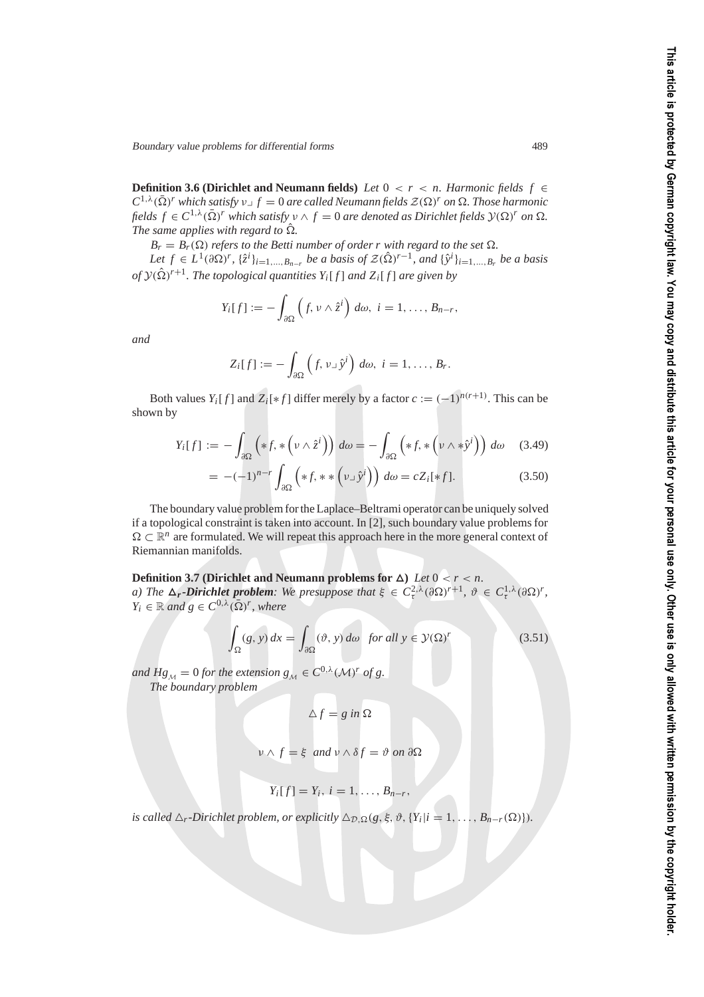**Definition 3.6 (Dirichlet and Neumann fields)** *Let*  $0 < r < n$ . Harmonic fields  $f \in$  $C^{1,\lambda}(\bar{\Omega})^r$  *which satisfy*  $\nu \circ f = 0$  *are called Neumann fields*  $\mathcal{Z}(\Omega)^r$  *on*  $\Omega$ *. Those harmonic fields*  $f \in C^{1,\lambda}(\bar{\Omega})^r$  which satisfy  $v \wedge f = 0$  are denoted as Dirichlet fields  $\mathcal{Y}(\Omega)^r$  on  $\Omega$ . The same applies with regard to  $\hat{\Omega}$ .

 $B_r = B_r(\Omega)$  *refers to the Betti number of order r with regard to the set*  $\Omega$ *.* 

*Let*  $f \in L^1(\partial\Omega)^r$ ,  $\{\hat{z}^i\}_{i=1,\dots,B_{n-r}}$  *be a basis of*  $\mathcal{Z}(\hat{\Omega})^{r-1}$ *, and*  $\{\hat{y}^i\}_{i=1,\dots,B_r}$  *be a basis* of  $\mathcal{Y}(\hat{\Omega})^{r+1}$ . The topological quantities  $Y_i[f]$  and  $Z_i[f]$  are given by

$$
Y_i[f] := -\int_{\partial\Omega}\left(f, \nu \wedge \hat{z}^i\right) d\omega, \ i = 1, \ldots, B_{n-r},
$$

*and*

$$
Z_i[f] := -\int_{\partial\Omega}\left(f, \nu \lrcorner \hat{\gamma}^i\right) d\omega, \ i = 1, \ldots, B_r.
$$

Both values *Y<sub>i</sub>*[*f*] and *Z<sub>i</sub>*[\**f*] differ merely by a factor  $c := (-1)^{n(r+1)}$ . This can be shown by

$$
Y_i[f] := -\int_{\partial\Omega} \left( *f, * \left( \nu \wedge \hat{z}^i \right) \right) d\omega = -\int_{\partial\Omega} \left( *f, * \left( \nu \wedge * \hat{y}^i \right) \right) d\omega \quad (3.49)
$$

$$
= -(-1)^{n-r} \int_{\partial \Omega} \left( *f, * * \left( v \lrcorner \hat{y}^i \right) \right) d\omega = c Z_i[*f]. \tag{3.50}
$$

The boundary value problem for the Laplace–Beltrami operator can be uniquely solved if a topological constraint is taken into account. In [2], such boundary value problems for  $\Omega \subset \mathbb{R}^n$  are formulated. We will repeat this approach here in the more general context of Riemannian manifolds.

**Definition 3.7 (Dirichlet and Neumann problems for**  $\Delta$ **)** *Let*  $0 < r < n$ . *a)* The  $\Delta_r$ -Dirichlet problem: We presuppose that  $\xi \in C_{\tau}^{2,\lambda}(\partial \Omega)^{r+1}$ ,  $\vartheta \in C_{\tau}^{1,\lambda}(\partial \Omega)^r$ ,  $Y_i \in \mathbb{R}$  and  $g \in C^{0,\lambda}(\overline{\Omega})^r$ , where

$$
\int_{\Omega} (g, y) dx = \int_{\partial \Omega} (\vartheta, y) d\omega \text{ for all } y \in \mathcal{Y}(\Omega)^r \tag{3.51}
$$

*and*  $Hg_M = 0$  *for the extension*  $g_M \in C^{0,\lambda}(\mathcal{M})^r$  *of g. The boundary problem*

$$
\Delta f = g \text{ in } \Omega
$$

$$
\nu \wedge f = \xi \text{ and } \nu \wedge \delta f = \vartheta \text{ on } \partial \Omega
$$

$$
Y_i[f] = Y_i, i = 1, \ldots, B_{n-r},
$$

*is called*  $\Delta_r$ -Dirichlet problem, or explicitly  $\Delta_{\mathcal{D},\Omega}(g,\xi,\vartheta,\{Y_i|i=1,\ldots,B_{n-r}(\Omega)\}).$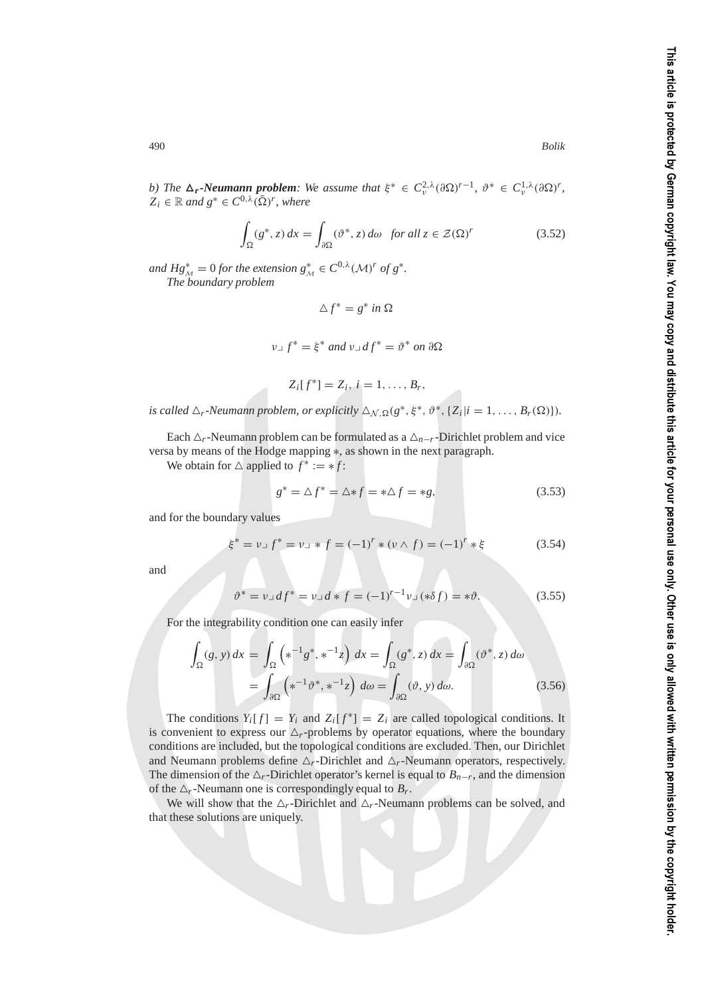*b)* The  $\Delta_r$ -Neumann problem: We assume that  $\xi^* \in C^{2,\lambda}_\nu(\partial \Omega)^{r-1}, \ \vartheta^* \in C^{1,\lambda}_\nu(\partial \Omega)^r$ ,  $Z_i \in \mathbb{R}$  and  $g^* \in C^{0,\lambda}(\overline{\Omega})^r$ , where

$$
\int_{\Omega} (g^*, z) dx = \int_{\partial \Omega} (\vartheta^*, z) d\omega \text{ for all } z \in \mathcal{Z}(\Omega)^r
$$
\n(3.52)

*and*  $Hg_M^* = 0$  *for the extension*  $g_M^* \in C^{0,\lambda}(\mathcal{M})^r$  *of*  $g^*$ . *The boundary problem*

$$
\Delta f^* = g^* \text{ in } \Omega
$$
  

$$
\nu \Box f^* = \xi^* \text{ and } \nu \Box df^* = \vartheta^* \text{ on } \partial \Omega
$$

$$
Z_i[f^*]=Z_i, i=1,\ldots,B_r,
$$

*is called*  $\Delta_r$ -Neumann problem, or explicitly  $\Delta_{\mathcal{N},\Omega}(g^*,\xi^*,\vartheta^*,\{Z_i|i=1,\ldots,B_r(\Omega)\}).$ 

Each  $\Delta$ <sub>r</sub>-Neumann problem can be formulated as a  $\Delta$ <sub>*n−r*</sub>-Dirichlet problem and vice versa by means of the Hodge mapping ∗, as shown in the next paragraph.

We obtain for  $\triangle$  applied to  $f^* := *f$ :

$$
g^* = \Delta f^* = \Delta * f = * \Delta f = *g,\tag{3.53}
$$

and for the boundary values

$$
\xi^* = \nu \Box f^* = \nu \Box * f = (-1)^r * (\nu \wedge f) = (-1)^r * \xi \tag{3.54}
$$

and

$$
\vartheta^* = \nu \Box df^* = \nu \Box d * f = (-1)^{r-1} \nu \Box (* \delta f) = * \vartheta. \tag{3.55}
$$

For the integrability condition one can easily infer

$$
\int_{\Omega} (g, y) dx = \int_{\Omega} \left( *^{-1} g^*, *^{-1} z \right) dx = \int_{\Omega} (g^*, z) dx = \int_{\partial \Omega} (\vartheta^*, z) d\omega
$$

$$
= \int_{\partial \Omega} \left( *^{-1} \vartheta^*, *^{-1} z \right) d\omega = \int_{\partial \Omega} (\vartheta, y) d\omega. \tag{3.56}
$$

The conditions  $Y_i[f] = Y_i$  and  $Z_i[f^*] = Z_i$  are called topological conditions. It is convenient to express our  $\Delta_r$ -problems by operator equations, where the boundary conditions are included, but the topological conditions are excluded. Then, our Dirichlet and Neumann problems define  $\Delta_r$ -Dirichlet and  $\Delta_r$ -Neumann operators, respectively. The dimension of the  $\Delta_r$ -Dirichlet operator's kernel is equal to  $B_{n-r}$ , and the dimension of the  $\Delta_r$ -Neumann one is correspondingly equal to  $B_r$ .

We will show that the  $\Delta_r$ -Dirichlet and  $\Delta_r$ -Neumann problems can be solved, and that these solutions are uniquely.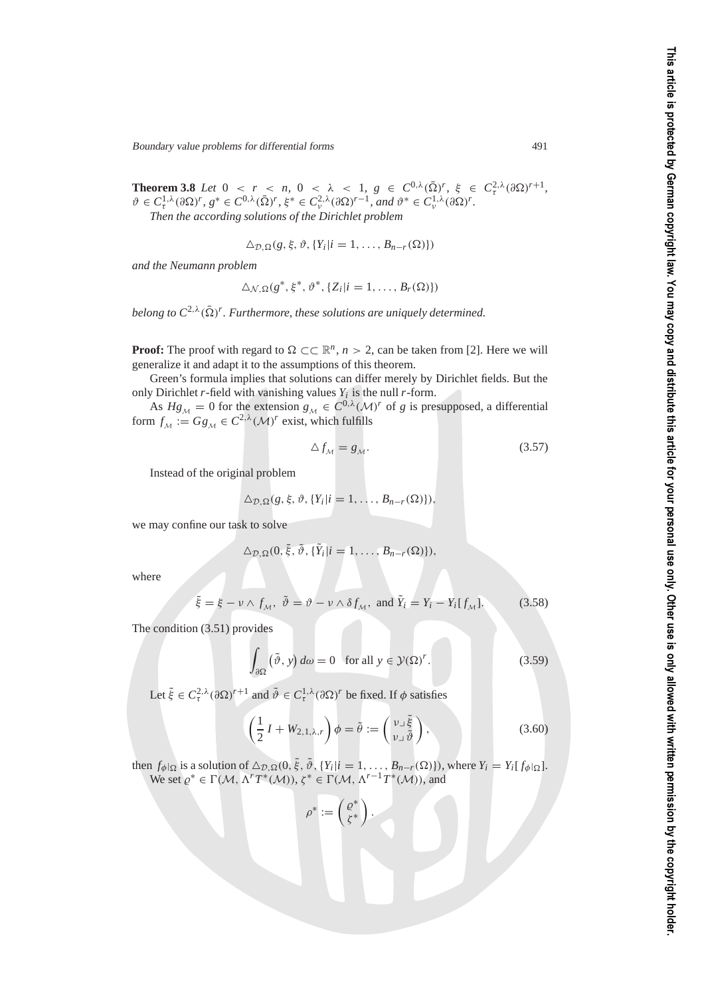Boundary value problems for differential forms 491

**Theorem 3.8** *Let*  $0 < r < n$ ,  $0 < \lambda < 1$ ,  $g \in C^{0,\lambda}(\overline{\Omega})^r$ ,  $\xi \in C^{2,\lambda}(\partial \Omega)^{r+1}$ ,  $\vartheta \in C^{1,\lambda}_{\tau}(\partial \Omega)^r, g^* \in C^{0,\lambda}(\bar{\Omega})^r, \xi^* \in C^{2,\lambda}_{\nu}(\partial \Omega)^{r-1}, \text{ and } \vartheta^* \in C^{1,\lambda}_{\nu}(\partial \Omega)^r.$ 

*Then the according solutions of the Dirichlet problem*

$$
\Delta_{\mathcal{D},\Omega}(g,\xi,\vartheta,\{Y_i|i=1,\ldots,B_{n-r}(\Omega)\})
$$

*and the Neumann problem*

$$
\Delta_{\mathcal{N},\Omega}(g^*,\xi^*,\vartheta^*,\{Z_i|i=1,\ldots,B_r(\Omega)\})
$$

belong to  $C^{2,\lambda}(\bar{\Omega})^r$ . Furthermore, these solutions are uniquely determined.

**Proof:** The proof with regard to  $\Omega \subset \mathbb{R}^n$ ,  $n > 2$ , can be taken from [2]. Here we will generalize it and adapt it to the assumptions of this theorem.

Green's formula implies that solutions can differ merely by Dirichlet fields. But the only Dirichlet  $r$ -field with vanishing values  $Y_i$  is the null  $r$ -form.

As  $Hg_M = 0$  for the extension  $g_M \in C^{0,\lambda}(\mathcal{M})^r$  of *g* is presupposed, a differential form  $f_M := Gg_M \in C^{2,\lambda}(\mathcal{M})^r$  exist, which fulfills

$$
\Delta f_{\mathcal{M}} = g_{\mathcal{M}}.\tag{3.57}
$$

Instead of the original problem

$$
\Delta_{\mathcal{D},\Omega}(g,\xi,\vartheta,\{Y_i|i=1,\ldots,B_{n-r}(\Omega)\}),
$$

we may confine our task to solve

$$
\Delta_{\mathcal{D},\Omega}(0,\tilde{\xi},\tilde{\vartheta},\{\tilde{Y}_i|i=1,\ldots,B_{n-r}(\Omega)\}),
$$

where

$$
\tilde{\xi} = \xi - \nu \wedge f_{\mathcal{M}}, \ \tilde{\vartheta} = \vartheta - \nu \wedge \delta f_{\mathcal{M}}, \text{ and } \tilde{Y}_i = Y_i - Y_i[f_{\mathcal{M}}]. \tag{3.58}
$$

The condition (3.51) provides

$$
\int_{\partial\Omega} (\tilde{\vartheta}, y) d\omega = 0 \quad \text{for all } y \in \mathcal{Y}(\Omega)^r. \tag{3.59}
$$

Let  $\tilde{\xi} \in C_{\tau}^{2,\lambda}(\partial \Omega)^{r+1}$  and  $\tilde{\vartheta} \in C_{\tau}^{1,\lambda}(\partial \Omega)^{r}$  be fixed. If  $\phi$  satisfies

$$
\left(\frac{1}{2}I + W_{2,1,\lambda,r}\right)\phi = \tilde{\theta} := \begin{pmatrix} \nu_{\perp}\tilde{\xi} \\ \nu_{\perp}\tilde{\vartheta} \end{pmatrix},\tag{3.60}
$$

then  $f_{\phi}|_{\Omega}$  is a solution of  $\Delta_{\mathcal{D},\Omega}(0,\tilde{\xi},\tilde{\vartheta}, \{Y_i|i=1,\ldots,B_{n-r}(\Omega)\})$ , where  $Y_i = Y_i[f_{\phi}|\Omega]$ . We set  $\varrho^* \in \Gamma(\mathcal{M}, \Lambda^r T^*(\mathcal{M}))$ ,  $\zeta^* \in \Gamma(\mathcal{M}, \Lambda^{r-1} T^*(\mathcal{M}))$ , and

$$
\rho^*:=\left(\begin{smallmatrix} \varrho^*\\ \zeta^*\end{smallmatrix}\right).
$$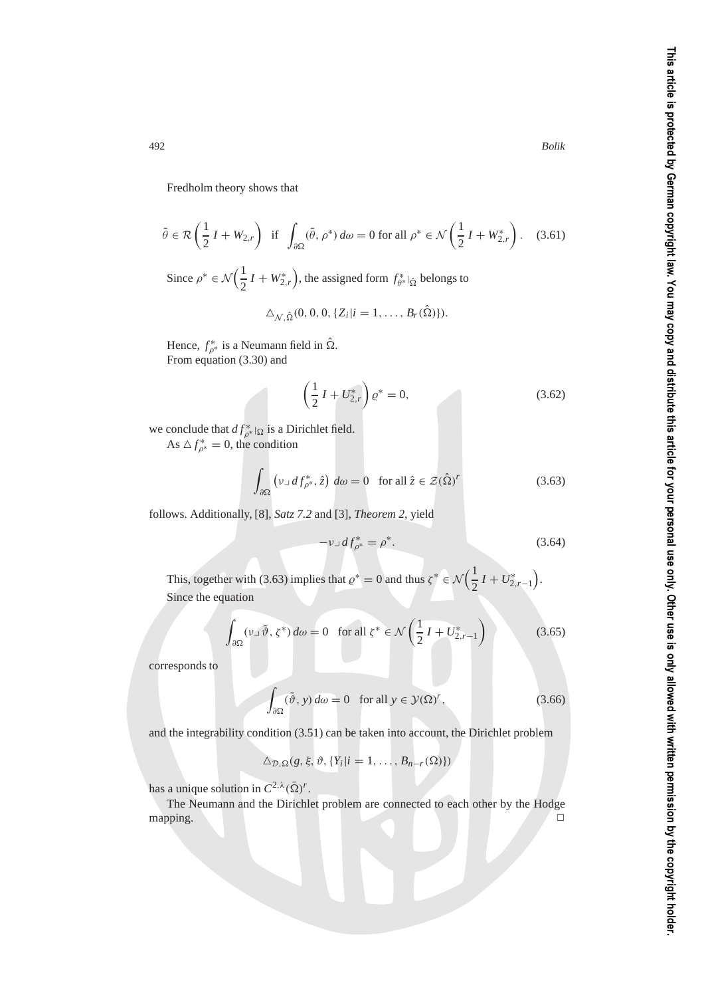Fredholm theory shows that

$$
\tilde{\theta} \in \mathcal{R}\left(\frac{1}{2}I + W_{2,r}\right) \text{ if } \int_{\partial\Omega} (\tilde{\theta}, \rho^*) \, d\omega = 0 \text{ for all } \rho^* \in \mathcal{N}\left(\frac{1}{2}I + W_{2,r}^*\right). \tag{3.61}
$$

Since  $\rho^* \in \mathcal{N}\left(\frac{1}{2}\right)$  $\frac{1}{2}I + W_{2,r}^*$ ), the assigned form  $f_{\theta^*}^*|_{\hat{\Omega}}$  belongs to

$$
\Delta_{\mathcal{N},\hat{\Omega}}(0,0,0,\{Z_i|i=1,\ldots,B_r(\hat{\Omega})\}).
$$

Hence,  $f_{\rho^*}^*$  is a Neumann field in  $\hat{\Omega}$ . From equation (3.30) and

$$
\left(\frac{1}{2}I + U_{2,r}^*\right)\varrho^* = 0,\tag{3.62}
$$

we conclude that  $df_{\rho^*}^*|_{\Omega}$  is a Dirichlet field.

As  $\Delta f_{\rho^*}^* = 0$ , the condition

$$
\int_{\partial\Omega} \left( \nu \lrcorner \, df_{\rho^*}^*, \hat{z} \right) \, d\omega = 0 \quad \text{for all } \hat{z} \in \mathcal{Z}(\hat{\Omega})^r \tag{3.63}
$$

follows. Additionally, [8], *Satz 7.2* and [3], *Theorem 2*, yield

$$
-\nu \lrcorner \, df_{\rho^*}^* = \rho^*.
$$
\n(3.64)

This, together with (3.63) implies that  $\rho^* = 0$  and thus  $\zeta^* \in \mathcal{N}\left(\frac{1}{2}\right)$  $\frac{1}{2}I + U^*_{2,r-1}$ . Since the equation

$$
\int_{\partial\Omega} (\nu_{\perp} \tilde{\vartheta}, \zeta^*) d\omega = 0 \quad \text{for all } \zeta^* \in \mathcal{N}\left(\frac{1}{2}I + U^*_{2,r-1}\right) \tag{3.65}
$$

corresponds to

$$
\int_{\partial\Omega} (\tilde{\vartheta}, y) d\omega = 0 \quad \text{for all } y \in \mathcal{Y}(\Omega)^r,
$$
\n(3.66)

and the integrability condition (3.51) can be taken into account, the Dirichlet problem

$$
\Delta_{\mathcal{D},\Omega}(g,\xi,\vartheta,\{Y_i|i=1,\ldots,B_{n-r}(\Omega)\})
$$

has a unique solution in  $C^{2,\lambda}(\bar{\Omega})^r$ .

The Neumann and the Dirichlet problem are connected to each other by the Hodge mapping.  $\hfill \square$